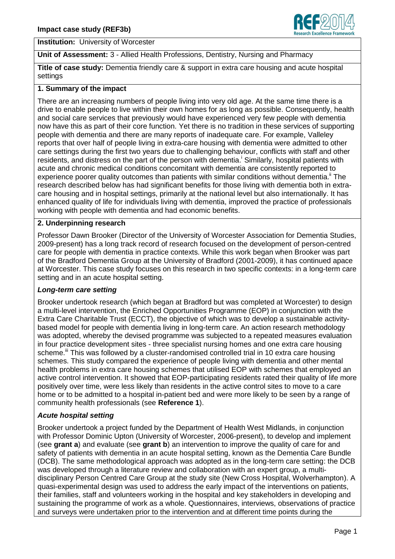

**Institution:** University of Worcester

**Unit of Assessment:** 3 - Allied Health Professions, Dentistry, Nursing and Pharmacy

**Title of case study:** Dementia friendly care & support in extra care housing and acute hospital settings

## **1. Summary of the impact**

There are an increasing numbers of people living into very old age. At the same time there is a drive to enable people to live within their own homes for as long as possible. Consequently, health and social care services that previously would have experienced very few people with dementia now have this as part of their core function. Yet there is no tradition in these services of supporting people with dementia and there are many reports of inadequate care. For example, Valleley reports that over half of people living in extra-care housing with dementia were admitted to other care settings during the first two years due to challenging behaviour, conflicts with staff and other residents, and distress on the part of the person with dementia.<sup>i</sup> Similarly, hospital patients with acute and chronic medical conditions concomitant with dementia are consistently reported to experience poorer quality outcomes than patients with similar conditions without dementia.<sup>"</sup> The research described below has had significant benefits for those living with dementia both in extracare housing and in hospital settings, primarily at the national level but also internationally. It has enhanced quality of life for individuals living with dementia, improved the practice of professionals working with people with dementia and had economic benefits.

# **2. Underpinning research**

Professor Dawn Brooker (Director of the University of Worcester Association for Dementia Studies, 2009-present) has a long track record of research focused on the development of person-centred care for people with dementia in practice contexts. While this work began when Brooker was part of the Bradford Dementia Group at the University of Bradford (2001-2009), it has continued apace at Worcester. This case study focuses on this research in two specific contexts: in a long-term care setting and in an acute hospital setting.

## *Long-term care setting*

Brooker undertook research (which began at Bradford but was completed at Worcester) to design a multi-level intervention, the Enriched Opportunities Programme (EOP) in conjunction with the Extra Care Charitable Trust (ECCT), the objective of which was to develop a sustainable activitybased model for people with dementia living in long-term care. An action research methodology was adopted, whereby the devised programme was subjected to a repeated measures evaluation in four practice development sites - three specialist nursing homes and one extra care housing scheme.<sup>iii</sup> This was followed by a cluster-randomised controlled trial in 10 extra care housing schemes. This study compared the experience of people living with dementia and other mental health problems in extra care housing schemes that utilised EOP with schemes that employed an active control intervention. It showed that EOP-participating residents rated their quality of life more positively over time, were less likely than residents in the active control sites to move to a care home or to be admitted to a hospital in-patient bed and were more likely to be seen by a range of community health professionals (see **Reference 1**).

## *Acute hospital setting*

Brooker undertook a project funded by the Department of Health West Midlands, in conjunction with Professor Dominic Upton (University of Worcester, 2006-present), to develop and implement (see **grant a**) and evaluate (see **grant b**) an intervention to improve the quality of care for and safety of patients with dementia in an acute hospital setting, known as the Dementia Care Bundle (DCB). The same methodological approach was adopted as in the long-term care setting: the DCB was developed through a literature review and collaboration with an expert group, a multidisciplinary Person Centred Care Group at the study site (New Cross Hospital, Wolverhampton). A quasi-experimental design was used to address the early impact of the interventions on patients, their families, staff and volunteers working in the hospital and key stakeholders in developing and sustaining the programme of work as a whole. Questionnaires, interviews, observations of practice and surveys were undertaken prior to the intervention and at different time points during the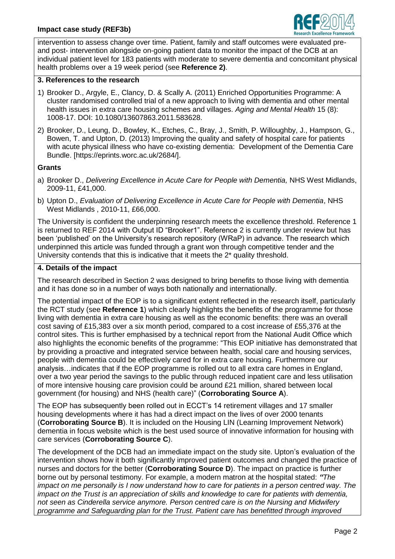

intervention to assess change over time. Patient, family and staff outcomes were evaluated preand post- intervention alongside on-going patient data to monitor the impact of the DCB at an individual patient level for 183 patients with moderate to severe dementia and concomitant physical health problems over a 19 week period (see **Reference 2)**.

#### **3. References to the research**

- 1) Brooker D., Argyle, E., Clancy, D. & Scally A. (2011) Enriched Opportunities Programme: A cluster randomised controlled trial of a new approach to living with dementia and other mental health issues in extra care housing schemes and villages. *Aging and Mental Health* 15 (8): 1008-17. DOI: 10.1080/13607863.2011.583628.
- 2) Brooker, D., Leung, D., Bowley, K., Etches, C., Bray, J., Smith, P. Willoughby, J., Hampson, G., Bowen, T. and Upton, D. (2013) Improving the quality and safety of hospital care for patients with acute physical illness who have co-existing dementia: Development of the Dementia Care Bundle. [https://eprints.worc.ac.uk/2684/].

#### **Grants**

- a) Brooker D., *Delivering Excellence in Acute Care for People with Dementia,* NHS West Midlands, 2009-11, £41,000.
- b) Upton D., *Evaluation of Delivering Excellence in Acute Care for People with Dementia*, NHS West Midlands , 2010-11, £66,000.

The University is confident the underpinning research meets the excellence threshold. Reference 1 is returned to REF 2014 with Output ID "Brooker1". Reference 2 is currently under review but has been 'published' on the University's research repository (WRaP) in advance. The research which underpinned this article was funded through a grant won through competitive tender and the University contends that this is indicative that it meets the 2\* quality threshold.

#### **4. Details of the impact**

The research described in Section 2 was designed to bring benefits to those living with dementia and it has done so in a number of ways both nationally and internationally.

The potential impact of the EOP is to a significant extent reflected in the research itself, particularly the RCT study (see **Reference 1**) which clearly highlights the benefits of the programme for those living with dementia in extra care housing as well as the economic benefits: there was an overall cost saving of £15,383 over a six month period, compared to a cost increase of £55,376 at the control sites. This is further emphasised by a technical report from the National Audit Office which also highlights the economic benefits of the programme: "This EOP initiative has demonstrated that by providing a proactive and integrated service between health, social care and housing services, people with dementia could be effectively cared for in extra care housing. Furthermore our analysis…indicates that if the EOP programme is rolled out to all extra care homes in England, over a two year period the savings to the public through reduced inpatient care and less utilisation of more intensive housing care provision could be around £21 million, shared between local government (for housing) and NHS (health care)" (**Corroborating Source A**).

The EOP has subsequently been rolled out in ECCT's 14 retirement villages and 17 smaller housing developments where it has had a direct impact on the lives of over 2000 tenants (**Corroborating Source B**). It is included on the Housing LIN (Learning Improvement Network) dementia in focus website which is the best used source of innovative information for housing with care services (**Corroborating Source C**).

The development of the DCB had an immediate impact on the study site. Upton's evaluation of the intervention shows how it both significantly improved patient outcomes and changed the practice of nurses and doctors for the better (**Corroborating Source D**). The impact on practice is further borne out by personal testimony. For example, a modern matron at the hospital stated: *"The impact on me personally is I now understand how to care for patients in a person centred way. The impact on the Trust is an appreciation of skills and knowledge to care for patients with dementia, not seen as Cinderella service anymore. Person centred care is on the Nursing and Midwifery programme and Safeguarding plan for the Trust. Patient care has benefitted through improved*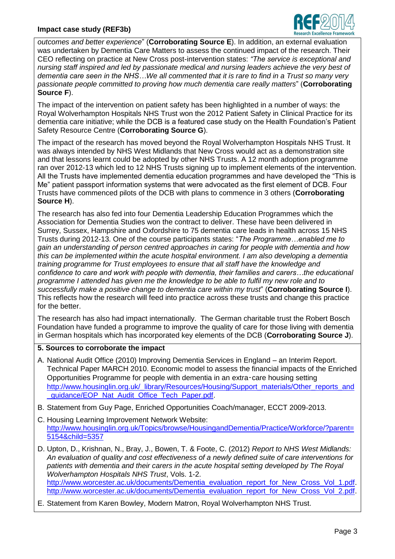

*outcomes and better experience*" (**Corroborating Source E**). In addition, an external evaluation was undertaken by Dementia Care Matters to assess the continued impact of the research. Their CEO reflecting on practice at New Cross post-intervention states: *"The service is exceptional and nursing staff inspired and led by passionate medical and nursing leaders achieve the very best of dementia care seen in the NHS…We all commented that it is rare to find in a Trust so many very passionate people committed to proving how much dementia care really matters*" (**Corroborating Source F**).

The impact of the intervention on patient safety has been highlighted in a number of ways: the Royal Wolverhampton Hospitals NHS Trust won the 2012 Patient Safety in Clinical Practice for its dementia care initiative; while the DCB is a featured case study on the Health Foundation's Patient Safety Resource Centre (**Corroborating Source G**).

The impact of the research has moved beyond the Royal Wolverhampton Hospitals NHS Trust. It was always intended by NHS West Midlands that New Cross would act as a demonstration site and that lessons learnt could be adopted by other NHS Trusts. A 12 month adoption programme ran over 2012-13 which led to 12 NHS Trusts signing up to implement elements of the intervention. All the Trusts have implemented dementia education programmes and have developed the "This is Me" patient passport information systems that were advocated as the first element of DCB. Four Trusts have commenced pilots of the DCB with plans to commence in 3 others (**Corroborating Source H**).

The research has also fed into four Dementia Leadership Education Programmes which the Association for Dementia Studies won the contract to deliver. These have been delivered in Surrey, Sussex, Hampshire and Oxfordshire to 75 dementia care leads in health across 15 NHS Trusts during 2012-13. One of the course participants states: "*The Programme…enabled me to gain an understanding of person centred approaches in caring for people with dementia and how this can be implemented within the acute hospital environment. I am also developing a dementia training programme for Trust employees to ensure that all staff have the knowledge and confidence to care and work with people with dementia, their families and carers…the educational programme I attended has given me the knowledge to be able to fulfil my new role and to successfully make a positive change to dementia care within my trust*" (**Corroborating Source I**). This reflects how the research will feed into practice across these trusts and change this practice for the better.

The research has also had impact internationally. The German charitable trust the Robert Bosch Foundation have funded a programme to improve the quality of care for those living with dementia in German hospitals which has incorporated key elements of the DCB (**Corroborating Source J**).

**5. Sources to corroborate the impact**

- A. National Audit Office (2010) Improving Dementia Services in England an Interim Report. Technical Paper MARCH 2010. Economic model to assess the financial impacts of the Enriched Opportunities Programme for people with dementia in an extra‑care housing setting [http://www.housinglin.org.uk/\\_library/Resources/Housing/Support\\_materials/Other\\_reports\\_and](http://www.housinglin.org.uk/_library/Resources/Housing/Support_materials/Other_reports_and_guidance/EOP_Nat_Audit_Office_Tech_Paper.pdf) quidance/EOP\_Nat\_Audit\_Office\_Tech\_Paper.pdf.
- B. Statement from Guy Page, Enriched Opportunities Coach/manager, ECCT 2009-2013.
- C. Housing Learning Improvement Network Website: [http://www.housinglin.org.uk/Topics/browse/HousingandDementia/Practice/Workforce/?parent=](http://www.housinglin.org.uk/Topics/browse/HousingandDementia/Practice/Workforce/?parent=5154&child=5357) [5154&child=5357](http://www.housinglin.org.uk/Topics/browse/HousingandDementia/Practice/Workforce/?parent=5154&child=5357)
- D. Upton, D., Krishnan, N., Bray, J., Bowen, T. & Foote, C. (2012) *Report to NHS West Midlands: An evaluation of quality and cost effectiveness of a newly defined suite of care interventions for patients with dementia and their carers in the acute hospital setting developed by The Royal Wolverhampton Hospitals NHS Trust*, Vols. 1-2. [http://www.worcester.ac.uk/documents/Dementia\\_evaluation\\_report\\_for\\_New\\_Cross\\_Vol\\_1.pdf.](http://www.worcester.ac.uk/documents/Dementia_evaluation_report_for_New_Cross_Vol_1.pdf) [http://www.worcester.ac.uk/documents/Dementia\\_evaluation\\_report\\_for\\_New\\_Cross\\_Vol\\_2.pdf.](http://www.worcester.ac.uk/documents/Dementia_evaluation_report_for_New_Cross_Vol_2.pdf)
- E. Statement from Karen Bowley, Modern Matron, Royal Wolverhampton NHS Trust.